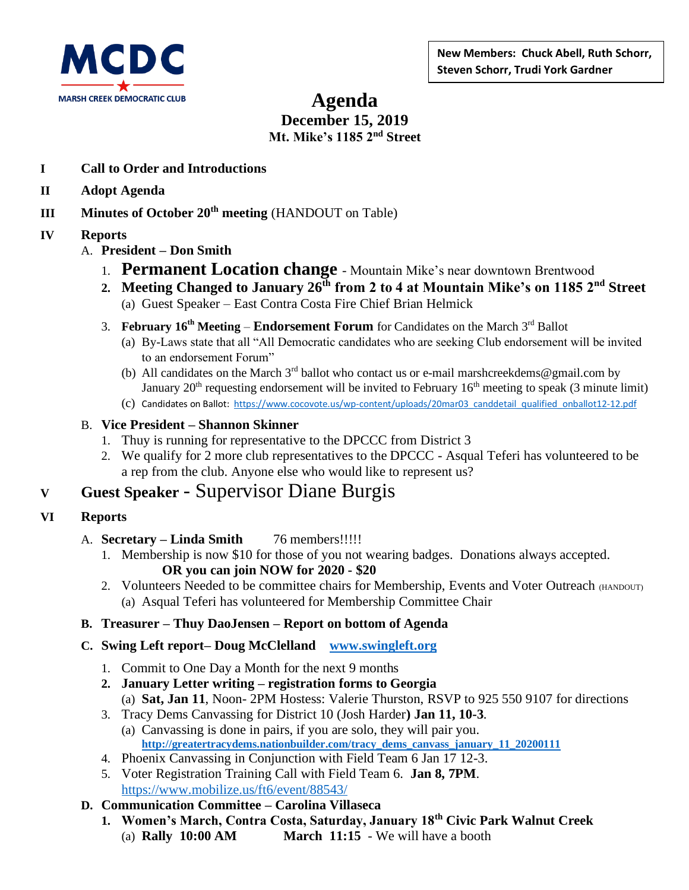

# **Agenda December 15, 2019 Mt. Mike's 1185 2nd Street**

- **I Call to Order and Introductions**
- **II Adopt Agenda**
- **III Minutes of October 20th meeting** (HANDOUT on Table)
- **IV Reports**
	- A. **President – Don Smith**
		- 1. **Permanent Location change** Mountain Mike's near downtown Brentwood
		- **2. Meeting Changed to January 26th from 2 to 4 at Mountain Mike's on 1185 2nd Street**
			- (a) Guest Speaker East Contra Costa Fire Chief Brian Helmick
		- 3. **February 16th Meeting Endorsement Forum** for Candidates on the March 3rd Ballot
			- (a) By-Laws state that all "All Democratic candidates who are seeking Club endorsement will be invited to an endorsement Forum"
			- (b) All candidates on the March  $3<sup>rd</sup>$  ballot who contact us or e-mail marshcreekdems@gmail.com by January  $20<sup>th</sup>$  requesting endorsement will be invited to February 16<sup>th</sup> meeting to speak (3 minute limit)
			- (c) Candidates on Ballot: [https://www.cocovote.us/wp-content/uploads/20mar03\\_canddetail\\_qualified\\_onballot12-12.pdf](https://www.cocovote.us/wp-content/uploads/20mar03_canddetail_qualified_onballot12-12.pdf)
	- B. **Vice President – Shannon Skinner**
		- 1. Thuy is running for representative to the DPCCC from District 3
		- 2. We qualify for 2 more club representatives to the DPCCC Asqual Teferi has volunteered to be a rep from the club. Anyone else who would like to represent us?

# **<sup>V</sup> Guest Speaker** - Supervisor Diane Burgis

- **VI Reports**
	- A. **Secretary – Linda Smith** 76 members!!!!!
		- 1. Membership is now \$10 for those of you not wearing badges. Donations always accepted. **OR you can join NOW for 2020 - \$20**
		- 2. Volunteers Needed to be committee chairs for Membership, Events and Voter Outreach (HANDOUT) (a) Asqual Teferi has volunteered for Membership Committee Chair

#### **B. Treasurer – Thuy DaoJensen – Report on bottom of Agenda**

- **C. Swing Left report– Doug McClelland [www.swingleft.org](http://www.swingleft.org/)** 
	- 1. Commit to One Day a Month for the next 9 months
	- **2. January Letter writing – registration forms to Georgia** (a) **Sat, Jan 11**, Noon- 2PM Hostess: Valerie Thurston, RSVP to 925 550 9107 for directions
	- 3. Tracy Dems Canvassing for District 10 (Josh Harder**) Jan 11, 10-3**.
		- (a) Canvassing is done in pairs, if you are solo, they will pair you. **[http://greatertracydems.nationbuilder.com/tracy\\_dems\\_canvass\\_january\\_11\\_20200111](http://greatertracydems.nationbuilder.com/tracy_dems_canvass_january_11_20200111)**
	- 4. Phoenix Canvassing in Conjunction with Field Team 6 Jan 17 12-3.
	- 5. Voter Registration Training Call with Field Team 6. **Jan 8, 7PM**. <https://www.mobilize.us/ft6/event/88543/>

## **D. Communication Committee – Carolina Villaseca**

**1. Women's March, Contra Costa, Saturday, January 18th Civic Park Walnut Creek** (a) **Rally 10:00 AM March 11:15** - We will have a booth